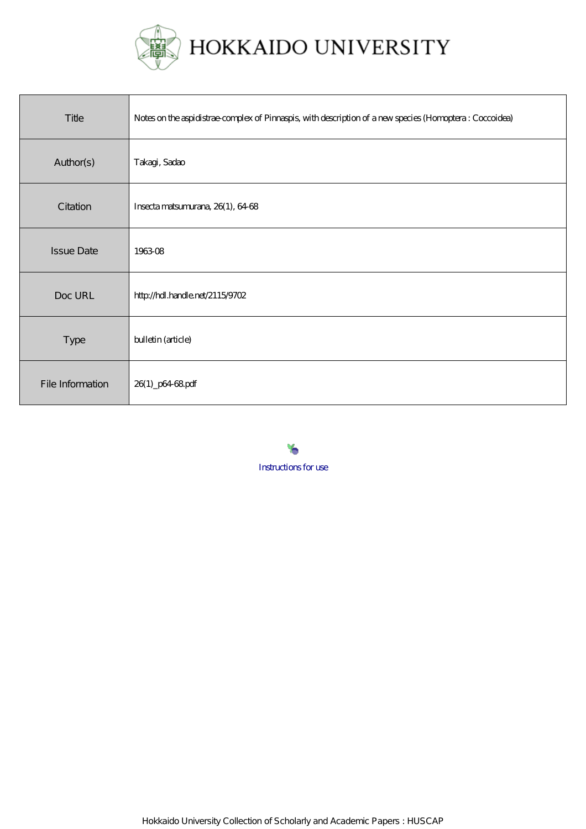

| Title             | Notes on the aspidistrae complex of Pinnaspis, with description of a new species (Homoptera: Coccoidea) |
|-------------------|---------------------------------------------------------------------------------------------------------|
| Author(s)         | Takagi, Sadao                                                                                           |
| Citation          | Insecta matsumurana, 26(1), 64-68                                                                       |
| <b>Issue Date</b> | 196308                                                                                                  |
| Doc URL           | http://hdl.handle.net/2115/9702                                                                         |
| Type              | bulletin (article)                                                                                      |
| File Information  | 26(1) p64 68 pdf                                                                                        |

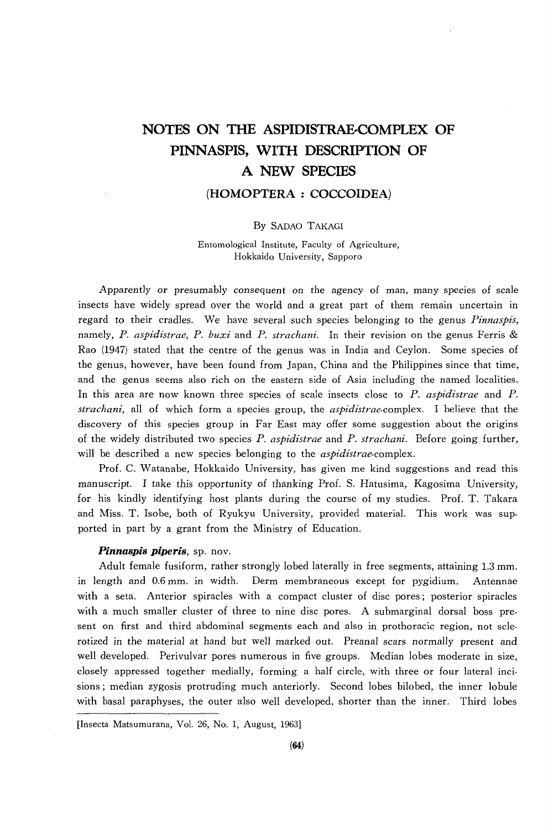# **NOTES ON THE ASPIDISTRAE-COMPLEX OF PINNASPIS, WITH DESCRIPfION OF A NEW SPECIES**

# **(HOMOPTERA : COCCOIDEA)**

# By SADAO TAKAGI

Entomological Institute, Faculty of Agriculture, Hokkaido University, Sapporo

Apparently or presumably consequent on the agency of man, many species of scale insects have widely spread over the world and a great part of them remain uncertain in regard to their cradles. We have several such species belonging to the genus *Pinnaspis*, namely, *P. aspidistrae, P. buxi* and *P. strachani.* In their revision on the genus Ferris & Rao (1947) stated that the centre of the genus was in India and Ceylon. Some species of the genus, however, have been found from Japan, China and the Philippines since that time, and the genus seems also rich on the eastern side of Asia including the named localities. In this area are now known three species of scale insects close to *P. aspidistrae* and *P. strachani,* all of which form a species group, the *aspidistrae.complex.* I believe that the discovery of this species group in Far East may offer some suggestion about the origins of the widely distributed two species P. *aspidistrae* and *P. strachani.* Before going further, will be described a new species belonging to the *aspidistrae*-complex.

Prof. C. Watanabe, Hokkaido University, has given me kind suggestions and read this manuscript. I take this opportunity of thanking Prof. S. Hatusima, Kagosima University, for his kindly identifying host plants during the course of my studies. Prof. T. Takara and Miss. T. Isobe, both of Ryukyu University, provided material. This work was supported in part by a grant from the Ministry of Education.

# *Pinnaspis piperis,* sp. nov.

Adult female fusiform, rather strongly lobed laterally in free segments, attaining 1.3 mm. in length and 0.6 mm. in width. Derm membraneous except for pygidium. Antennae with a seta. Anterior spiracles with a compact cluster of disc pores; posterior spiracles with a much smaller cluster of three to nine disc pores. A submarginal dorsal boss present on first and third abdominal segments each and also in prothoracic region, not sclerotized in the material at hand but well marked out. Preanal scars normally present and well developed. Perivulvar pores numerous in five groups. Median lobes moderate in size, closely appressed together medially, forming a half circle, with three or four lateral incisions; median zygosis protruding much anteriorly. Second lobes bilobed, the inner lobule with basal paraphyses, the outer also well developed, shorter than the inner. Third lobes

<sup>[</sup>Insecta Matsumurana, Vol. 26, No.1, August, 1963]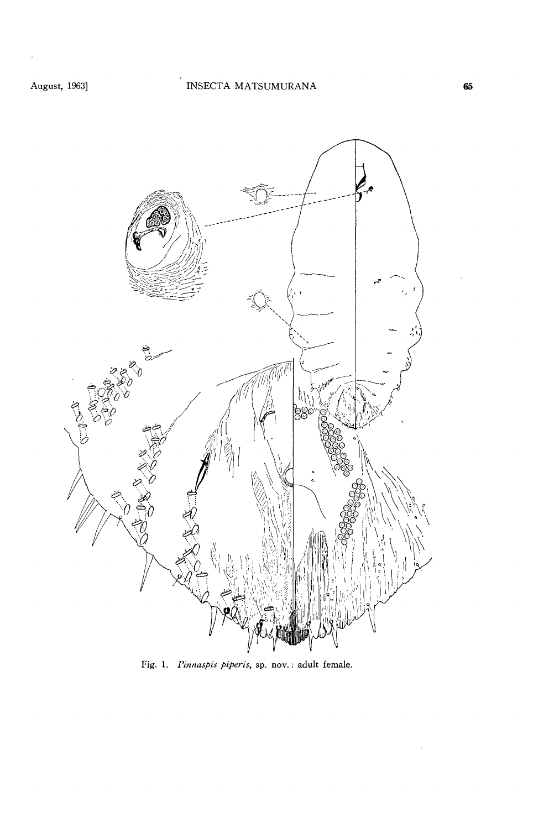l,



Fig. 1. *Pinnaspis piperis,* sp. nov.: adult female.

 $\hat{\mathcal{E}}$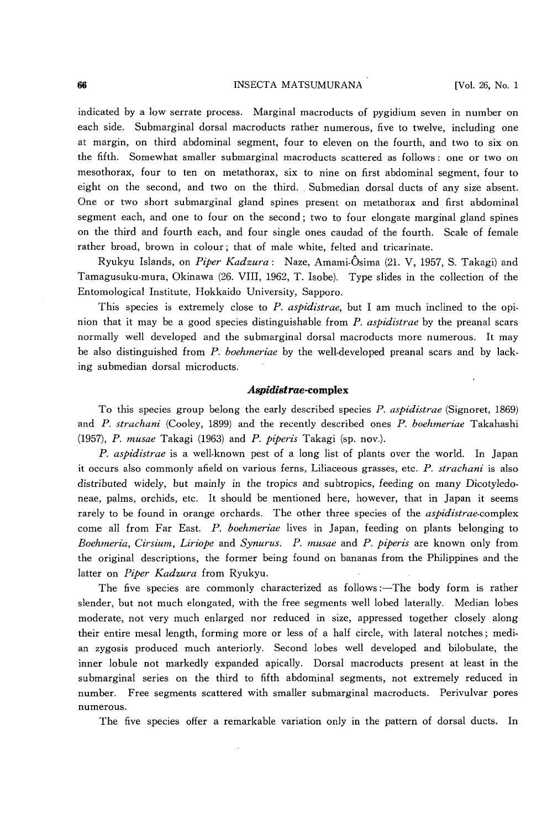# 66 **INSECTA MATSUMURANA** [Vol. 26, No. 1

indicated by a low serrate process. Marginal macroducts of pygidium seven in number on each side. Submarginal dorsal macroducts rather numerous, five to twelve, including one at margin, on third abdominal segment, four to eleven on the fourth, and two to six on the fifth. Somewhat smaller submarginal macroducts scattered as follows: one or two on mesothorax, four to ten on metathorax, six to nine on first abdominal segment, four to eight on the second, and two on the third .. Submedian dorsal ducts of any size absent. One or two short submarginal gland spines present on metathorax and first abdominal segment each, and one to four on the second; two to four elongate marginal gland spines on the third and fourth each, and four single ones caudad of the fourth. Scale of female rather broad, brown in colour; that of male white, felted and tricarinate.

Ryukyu Islands, on *Piper Kadzura:* Naze, Amami·Osima (21. V, 1957, S. Takagi) and Tamagusuku-mura, Okinawa (26. VIII, 1962, T. Isobe). Type slides in the collection of the Entomological Institute, Hokkaido University, Sapporo.

This species is extremely close to *P. aspidistrae,* but I am much inclined to the opinion that it may be a good species distinguishable from *P. aspidistrae* by the preanal scars normally well developed and the submarginal dorsal macroducts more numerous. It may be also distinguished from *P. boehmeriae* by the well-developed preanal scars and by lacking submedian dorsal microducts.

## *Aspidistrae-cornplex*

To this species group belong the early described species *P. aspidistrae* (Signoret, 1869) and *P. strachani* (Cooley, 1899) and the recently described ones *P. boehmeriae* Takahashi *(1957), P. musae* Takagi (1963) and *P. piperis* Takagi (sp. nov.).

*P. aspidistrae* is a well-known pest of a long list of plants over the world. In Japan it occurs also commonly afield on various ferns, Liliaceous grasses, etc. *P. strachani* is also distributed widely, but mainly in the tropics and subtropics, feeding on many Dicotyledoneae, palms, orchids, etc. It should be mentioned here, however, that in Japan it seems rarely to be found in orange orchards. The other three species of the *aspidistrae-complex*  come all from Far East. *P. boehmeriae* lives in Japan, feeding on plants belonging to *Boehmeria, Cirsium, Liriope* and *Synurus. P. musae* and *P. piperis* are known only from the original descriptions, the former being found on bananas from the Philippines and the latter on *Piper Kadzura* from Ryukyu.

The five species are commonly characterized as follows:—The body form is rather slender, but not much elongated, with the free segments well lobed laterally. Median lobes moderate, not very much enlarged nor reduced in size, appressed together closely along their entire mesal length, forming more or less of a half circle, with lateral notches; median zygosis produced much anteriorly. Second lobes well developed and bilobulate, the inner lobule not markedly expanded apically. Dorsal macroducts present at least in the submarginal series on the third to fifth abdominal segments, not extremely reduced in number. Free segments scattered with smaller submarginal macroducts. Perivulvar pores numerous.

The five species offer a remarkable variation only in the pattern of dorsal ducts. In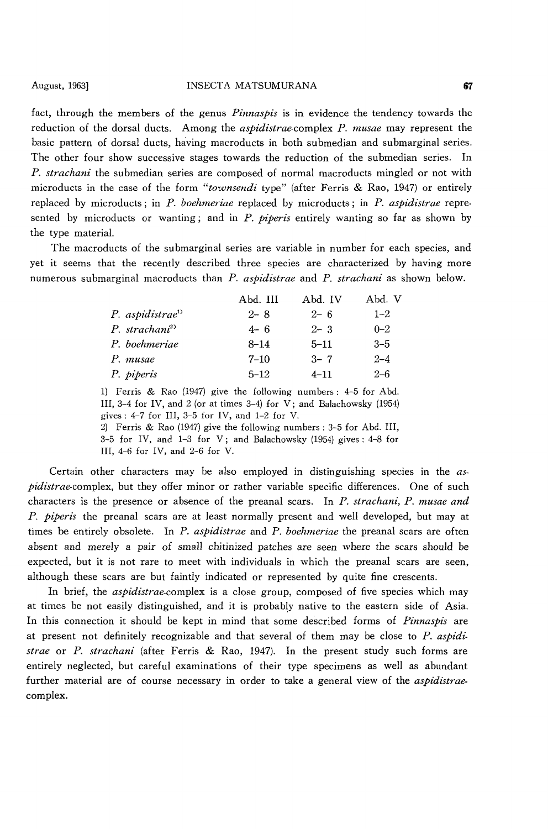fact, through the members of the genus *Pinnaspis* is in evidence the tendency towards the reduction of the dorsal ducts. Among the *aspidistrae·complex* P. *musae* may represent the basic pattern of dorsal ducts, having macroducts in both submedian and submarginal series. The other four show successive stages towards the reduction of the submedian series. In *P. strachani* the submedian series are composed of normal macroducts mingled or not with microducts in the case of the form *"townsendi* type" (after Ferris & Rao, 1947) or entirely replaced by micro ducts ; in P. *boehmeriae* replaced by microducts; in *P. aspidistrae* represented by microducts or wanting; and in *P. piperis* entirely wanting so far as shown by the type material.

The macroducts of the submarginal series are variable in number for each species, and yet it seems that the recently described three species are characterized by having more numerous submarginal macroducts than *P. aspidistrae* and *P. strachani* as shown below.

|                             | Abd. III | Abd. IV  | Abd. V  |
|-----------------------------|----------|----------|---------|
| P. aspidistrae <sup>1</sup> | $2 - 8$  | $2 - 6$  | $1 - 2$ |
| P. strachani <sup>2)</sup>  | $4 - 6$  | $2 - 3$  | $0 - 2$ |
| P. boehmeriae               | $8 - 14$ | $5 - 11$ | $3 - 5$ |
| P. musae                    | $7 - 10$ | $3 - 7$  | $2 - 4$ |
| P. piperis                  | $5 - 12$ | $4 - 11$ | $2 - 6$ |

1) Ferris & Rao (1947) give the following numbers: 4-5 for Abd. III, 3-4 for IV, and 2 (or at times 3-4) for V; and Balachowsky (1954) gives: 4-7 for III, 3-5 for IV, and 1-2 for V.

2) Ferris & Rao (1947) give the following numbers: 3-5 for Abd. III, 3-5 for IV, and 1-3 for V; and Balachowsky (1954) gives: 4-8 for

III, 4-6 for IV, and 2-6 for V.

Certain other characters may be also employed in distinguishing species in the *aspidistrae-complex,* but they offer minor or rather variable specific differences. One of such characters is the presence or absence of the preanal scars. In *P. strachani, P. musae and P. piperis* the preanal scars are at least normally present and well developed, but may at times be entirely obsolete. In *P. aspidistrae* and *P. boehmeriae* the preanal scars are often absent and merely a pair of small chitinized patches are seen where the scars should be expected, but it is not rare to meet with individuals in which the preanal scars are seen, although these scars are but faintly indicated or represented by quite fine crescents.

In brief, the *aspidistrae-complex* is a close group, composed of five species which may at times be not easily distinguished, and it is probably native to the eastern side of Asia. In this connection it should be kept in mind that some described forms of *Pinnaspis* are at present not definitely recognizable and that several of them may be close to *P. aspidistrae* or *P. strachani* (after Ferris & Rao, 1947). In the present study such forms are entirely neglected, but careful examinations of their type specimens as well as abundant further material are of course necessary in order to take a general view of the *aspidistrae*complex.